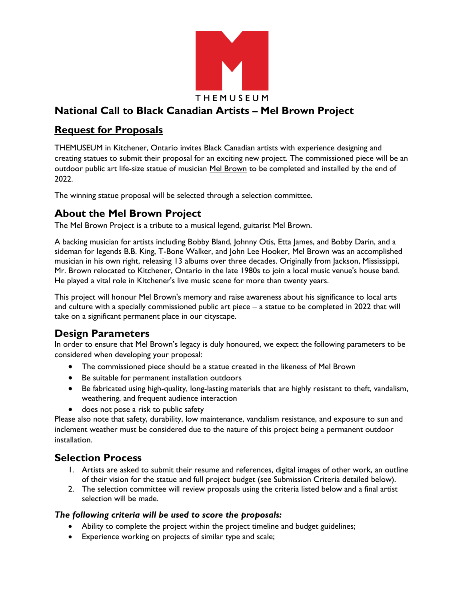

# **National Call to Black Canadian Artists – Mel Brown Project**

### **Request for Proposals**

THEMUSEUM in Kitchener, Ontario invites Black Canadian artists with experience designing and creating statues to submit their proposal for an exciting new project. The commissioned piece will be an outdoor public art life-size statue of musician [Mel Brown](https://en.wikipedia.org/wiki/Mel_Brown_(guitarist)) to be completed and installed by the end of 2022.

The winning statue proposal will be selected through a selection committee.

### **About the Mel Brown Project**

The Mel Brown Project is a tribute to a musical legend, guitarist Mel Brown.

A backing musician for artists including Bobby Bland, Johnny Otis, Etta James, and Bobby Darin, and a sideman for legends B.B. King, T-Bone Walker, and John Lee Hooker, Mel Brown was an accomplished musician in his own right, releasing 13 albums over three decades. Originally from Jackson, Mississippi, Mr. Brown relocated to Kitchener, Ontario in the late 1980s to join a local music venue's house band. He played a vital role in Kitchener's live music scene for more than twenty years.

This project will honour Mel Brown's memory and raise awareness about his significance to local arts and culture with a specially commissioned public art piece – a statue to be completed in 2022 that will take on a significant permanent place in our cityscape.

## **Design Parameters**

In order to ensure that Mel Brown's legacy is duly honoured, we expect the following parameters to be considered when developing your proposal:

- The commissioned piece should be a statue created in the likeness of Mel Brown
- Be suitable for permanent installation outdoors
- Be fabricated using high-quality, long-lasting materials that are highly resistant to theft, vandalism, weathering, and frequent audience interaction
- does not pose a risk to public safety

Please also note that safety, durability, low maintenance, vandalism resistance, and exposure to sun and inclement weather must be considered due to the nature of this project being a permanent outdoor installation.

### **Selection Process**

- 1. Artists are asked to submit their resume and references, digital images of other work, an outline of their vision for the statue and full project budget (see Submission Criteria detailed below).
- 2. The selection committee will review proposals using the criteria listed below and a final artist selection will be made.

#### *The following criteria will be used to score the proposals:*

- Ability to complete the project within the project timeline and budget guidelines;
- Experience working on projects of similar type and scale;